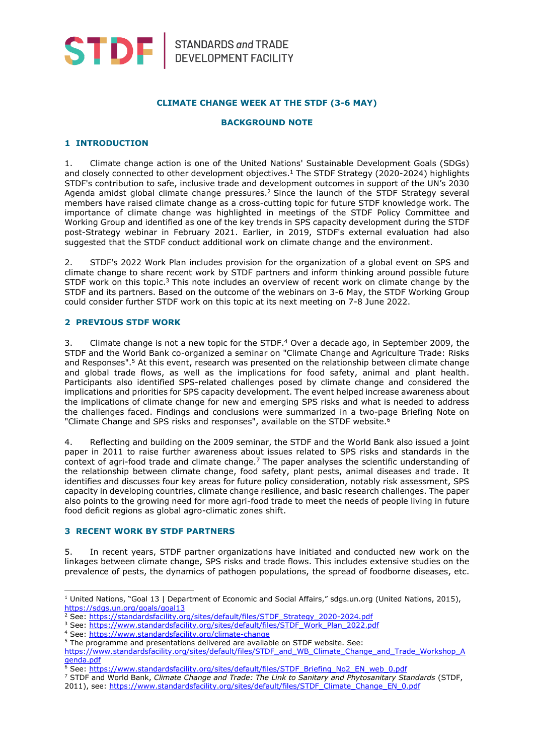

### **CLIMATE CHANGE WEEK AT THE STDF (3-6 MAY)**

#### **BACKGROUND NOTE**

#### **1 INTRODUCTION**

1. Climate change action is one of the United Nations' Sustainable Development Goals (SDGs) and closely connected to other development objectives. <sup>1</sup> The STDF Strategy (2020-2024) highlights STDF's contribution to safe, inclusive trade and development outcomes in support of the UN's 2030 Agenda amidst global climate change pressures.<sup>2</sup> Since the launch of the STDF Strategy several members have raised climate change as a cross-cutting topic for future STDF knowledge work. The importance of climate change was highlighted in meetings of the STDF Policy Committee and Working Group and identified as one of the key trends in SPS capacity development during the STDF post-Strategy webinar in February 2021. Earlier, in 2019, STDF's external evaluation had also suggested that the STDF conduct additional work on climate change and the environment.

2. STDF's 2022 Work Plan includes provision for the organization of a global event on SPS and climate change to share recent work by STDF partners and inform thinking around possible future STDF work on this topic.<sup>3</sup> This note includes an overview of recent work on climate change by the STDF and its partners. Based on the outcome of the webinars on 3-6 May, the STDF Working Group could consider further STDF work on this topic at its next meeting on 7-8 June 2022.

#### **2 PREVIOUS STDF WORK**

3. Climate change is not a new topic for the STDF.<sup>4</sup> Over a decade ago, in September 2009, the STDF and the World Bank co-organized a seminar on "Climate Change and Agriculture Trade: Risks and Responses". <sup>5</sup> At this event, research was presented on the relationship between climate change and global trade flows, as well as the implications for food safety, animal and plant health. Participants also identified SPS-related challenges posed by climate change and considered the implications and priorities for SPS capacity development. The event helped increase awareness about the implications of climate change for new and emerging SPS risks and what is needed to address the challenges faced. Findings and conclusions were summarized in a two-page Briefing Note on "Climate Change and SPS risks and responses", available on the STDF website.<sup>6</sup>

4. Reflecting and building on the 2009 seminar, the STDF and the World Bank also issued a joint paper in 2011 to raise further awareness about issues related to SPS risks and standards in the context of agri-food trade and climate change.<sup>7</sup> The paper analyses the scientific understanding of the relationship between climate change, food safety, plant pests, animal diseases and trade. It identifies and discusses four key areas for future policy consideration, notably risk assessment, SPS capacity in developing countries, climate change resilience, and basic research challenges. The paper also points to the growing need for more agri-food trade to meet the needs of people living in future food deficit regions as global agro-climatic zones shift.

#### **3 RECENT WORK BY STDF PARTNERS**

5. In recent years, STDF partner organizations have initiated and conducted new work on the linkages between climate change, SPS risks and trade flows. This includes extensive studies on the prevalence of pests, the dynamics of pathogen populations, the spread of foodborne diseases, etc.

<sup>3</sup> See: [https://www.standardsfacility.org/sites/default/files/STDF\\_Work\\_Plan\\_2022.pdf](https://www.standardsfacility.org/sites/default/files/STDF_Work_Plan_2022.pdf)

<sup>&</sup>lt;sup>1</sup> United Nations, "Goal 13 | Department of Economic and Social Affairs," sdgs.un.org (United Nations, 2015), <https://sdgs.un.org/goals/goal13>

<sup>&</sup>lt;sup>2</sup> See: [https://standardsfacility.org/sites/default/files/STDF\\_Strategy\\_2020-2024.pdf](https://standardsfacility.org/sites/default/files/STDF_Strategy_2020-2024.pdf)

<sup>4</sup> See:<https://www.standardsfacility.org/climate-change>

<sup>&</sup>lt;sup>5</sup> The programme and presentations delivered are available on STDF website. See:

[https://www.standardsfacility.org/sites/default/files/STDF\\_and\\_WB\\_Climate\\_Change\\_and\\_Trade\\_Workshop\\_A](https://www.standardsfacility.org/sites/default/files/STDF_and_WB_Climate_Change_and_Trade_Workshop_Agenda.pdf) [genda.pdf](https://www.standardsfacility.org/sites/default/files/STDF_and_WB_Climate_Change_and_Trade_Workshop_Agenda.pdf)

<sup>&</sup>lt;sup>6</sup> See: [https://www.standardsfacility.org/sites/default/files/STDF\\_Briefing\\_No2\\_EN\\_web\\_0.pdf](https://www.standardsfacility.org/sites/default/files/STDF_Briefing_No2_EN_web_0.pdf)

<sup>7</sup> STDF and World Bank, *Climate Change and Trade: The Link to Sanitary and Phytosanitary Standards* (STDF,

<sup>2011),</sup> see: [https://www.standardsfacility.org/sites/default/files/STDF\\_Climate\\_Change\\_EN\\_0.pdf](https://www.standardsfacility.org/sites/default/files/STDF_Climate_Change_EN_0.pdf)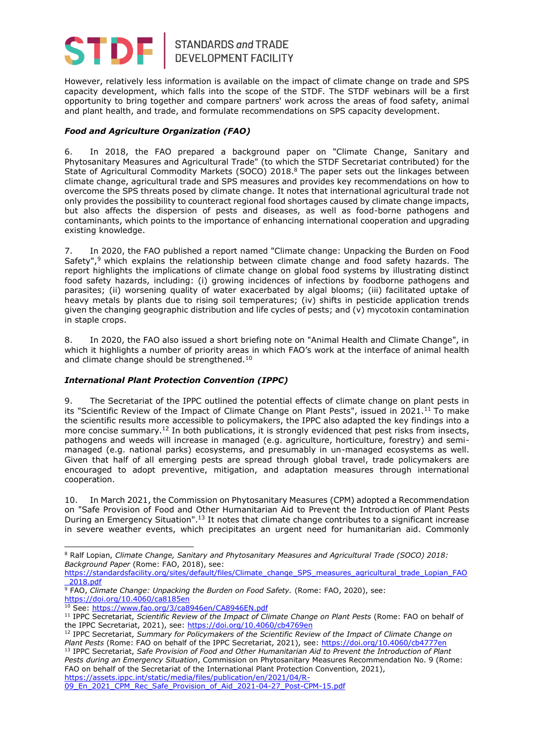

# STANDARDS and TRADE<br>DEVELOPMENT FACILITY

However, relatively less information is available on the impact of climate change on trade and SPS capacity development, which falls into the scope of the STDF. The STDF webinars will be a first opportunity to bring together and compare partners' work across the areas of food safety, animal and plant health, and trade, and formulate recommendations on SPS capacity development.

# *Food and Agriculture Organization (FAO)*

6. In 2018, the FAO prepared a background paper on "Climate Change, Sanitary and Phytosanitary Measures and Agricultural Trade" (to which the STDF Secretariat contributed) for the State of Agricultural Commodity Markets (SOCO) 2018.<sup>8</sup> The paper sets out the linkages between climate change, agricultural trade and SPS measures and provides key recommendations on how to overcome the SPS threats posed by climate change. It notes that international agricultural trade not only provides the possibility to counteract regional food shortages caused by climate change impacts, but also affects the dispersion of pests and diseases, as well as food-borne pathogens and contaminants, which points to the importance of enhancing international cooperation and upgrading existing knowledge.

7. In 2020, the FAO published a report named "Climate change: Unpacking the Burden on Food Safety", <sup>9</sup> which explains the relationship between climate change and food safety hazards. The report highlights the implications of climate change on global food systems by illustrating distinct food safety hazards, including: (i) growing incidences of infections by foodborne pathogens and parasites; (ii) worsening quality of water exacerbated by algal blooms; (iii) facilitated uptake of heavy metals by plants due to rising soil temperatures; (iv) shifts in pesticide application trends given the changing geographic distribution and life cycles of pests; and (v) mycotoxin contamination in staple crops.

8. In 2020, the FAO also issued a short briefing note on "Animal Health and Climate Change", in which it highlights a number of priority areas in which FAO's work at the interface of animal health and climate change should be strengthened.<sup>10</sup>

# *International Plant Protection Convention (IPPC)*

9. The Secretariat of the IPPC outlined the potential effects of climate change on plant pests in its "Scientific Review of the Impact of Climate Change on Plant Pests", issued in 2021.<sup>11</sup> To make the scientific results more accessible to policymakers, the IPPC also adapted the key findings into a more concise summary.<sup>12</sup> In both publications, it is strongly evidenced that pest risks from insects, pathogens and weeds will increase in managed (e.g. agriculture, horticulture, forestry) and semimanaged (e.g. national parks) ecosystems, and presumably in un-managed ecosystems as well. Given that half of all emerging pests are spread through global travel, trade policymakers are encouraged to adopt preventive, mitigation, and adaptation measures through international cooperation.

10. In March 2021, the Commission on Phytosanitary Measures (CPM) adopted a Recommendation on "Safe Provision of Food and Other Humanitarian Aid to Prevent the Introduction of Plant Pests During an Emergency Situation".<sup>13</sup> It notes that climate change contributes to a significant increase in severe weather events, which precipitates an urgent need for humanitarian aid. Commonly

<sup>8</sup> Ralf Lopian, *Climate Change, Sanitary and Phytosanitary Measures and Agricultural Trade (SOCO) 2018: Background Paper* (Rome: FAO, 2018), see:

[https://standardsfacility.org/sites/default/files/Climate\\_change\\_SPS\\_measures\\_agricultural\\_trade\\_Lopian\\_FAO](https://standardsfacility.org/sites/default/files/Climate_change_SPS_measures_agricultural_trade_Lopian_FAO_2018.pdf) [\\_2018.pdf](https://standardsfacility.org/sites/default/files/Climate_change_SPS_measures_agricultural_trade_Lopian_FAO_2018.pdf)

<sup>9</sup> FAO, *Climate Change: Unpacking the Burden on Food Safety.* (Rome: FAO, 2020), see: <https://doi.org/10.4060/ca8185en>

<sup>&</sup>lt;sup>10</sup> See[: https://www.fao.org/3/ca8946en/CA8946EN.pdf](https://www.fao.org/3/ca8946en/CA8946EN.pdf)

<sup>11</sup> IPPC Secretariat, *Scientific Review of the Impact of Climate Change on Plant Pests* (Rome: FAO on behalf of the IPPC Secretariat, 2021), see:<https://doi.org/10.4060/cb4769en>

<sup>12</sup> IPPC Secretariat, *Summary for Policymakers of the Scientific Review of the Impact of Climate Change on Plant Pests* (Rome: FAO on behalf of the IPPC Secretariat, 2021), see: <https://doi.org/10.4060/cb4777en> <sup>13</sup> IPPC Secretariat, *Safe Provision of Food and Other Humanitarian Aid to Prevent the Introduction of Plant Pests during an Emergency Situation*, Commission on Phytosanitary Measures Recommendation No. 9 (Rome: FAO on behalf of the Secretariat of the International Plant Protection Convention, 2021), [https://assets.ippc.int/static/media/files/publication/en/2021/04/R-](https://assets.ippc.int/static/media/files/publication/en/2021/04/R-09_En_2021_CPM_Rec_Safe_Provision_of_Aid_2021-04-27_Post-CPM-15.pdf)

<sup>09</sup> En 2021 CPM Rec Safe Provision of Aid 2021-04-27 Post-CPM-15.pdf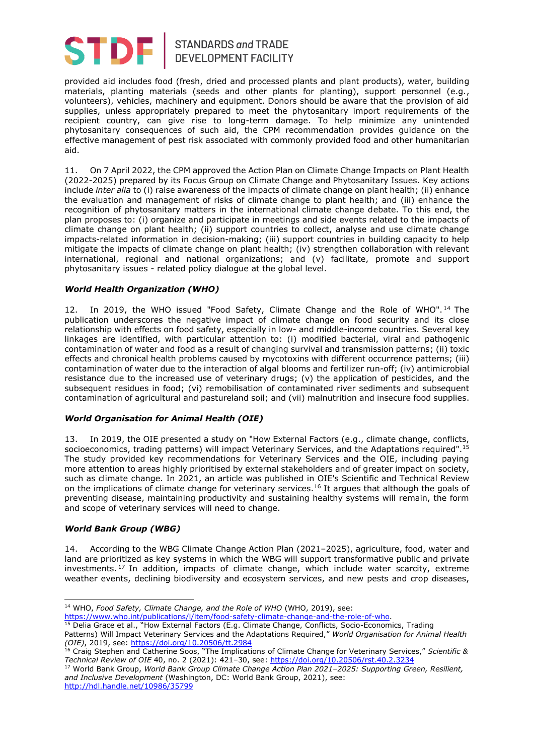

# STANDARDS and TRADE<br>DEVELOPMENT FACILITY

provided aid includes food (fresh, dried and processed plants and plant products), water, building materials, planting materials (seeds and other plants for planting), support personnel (e.g., volunteers), vehicles, machinery and equipment. Donors should be aware that the provision of aid supplies, unless appropriately prepared to meet the phytosanitary import requirements of the recipient country, can give rise to long-term damage. To help minimize any unintended phytosanitary consequences of such aid, the CPM recommendation provides guidance on the effective management of pest risk associated with commonly provided food and other humanitarian aid.

11. On 7 April 2022, the CPM approved the Action Plan on Climate Change Impacts on Plant Health (2022-2025) prepared by its Focus Group on Climate Change and Phytosanitary Issues. Key actions include *inter alia* to (i) raise awareness of the impacts of climate change on plant health; (ii) enhance the evaluation and management of risks of climate change to plant health; and (iii) enhance the recognition of phytosanitary matters in the international climate change debate. To this end, the plan proposes to: (i) organize and participate in meetings and side events related to the impacts of climate change on plant health; (ii) support countries to collect, analyse and use climate change impacts-related information in decision-making; (iii) support countries in building capacity to help mitigate the impacts of climate change on plant health; (iv) strengthen collaboration with relevant international, regional and national organizations; and (v) facilitate, promote and support phytosanitary issues - related policy dialogue at the global level.

## *World Health Organization (WHO)*

12. In 2019, the WHO issued "Food Safety, Climate Change and the Role of WHO".<sup>14</sup> The publication underscores the negative impact of climate change on food security and its close relationship with effects on food safety, especially in low- and middle-income countries. Several key linkages are identified, with particular attention to: (i) modified bacterial, viral and pathogenic contamination of water and food as a result of changing survival and transmission patterns; (ii) toxic effects and chronical health problems caused by mycotoxins with different occurrence patterns; (iii) contamination of water due to the interaction of algal blooms and fertilizer run-off; (iv) antimicrobial resistance due to the increased use of veterinary drugs; (v) the application of pesticides, and the subsequent residues in food; (vi) remobilisation of contaminated river sediments and subsequent contamination of agricultural and pastureland soil; and (vii) malnutrition and insecure food supplies.

## *World Organisation for Animal Health (OIE)*

13. In 2019, the OIE presented a study on "How External Factors (e.g., climate change, conflicts, socioeconomics, trading patterns) will impact Veterinary Services, and the Adaptations required".<sup>15</sup> The study provided key recommendations for Veterinary Services and the OIE, including paying more attention to areas highly prioritised by external stakeholders and of greater impact on society, such as climate change. In 2021, an article was published in OIE's Scientific and Technical Review on the implications of climate change for veterinary services.<sup>16</sup> It argues that although the goals of preventing disease, maintaining productivity and sustaining healthy systems will remain, the form and scope of veterinary services will need to change.

#### *World Bank Group (WBG)*

14. According to the WBG Climate Change Action Plan (2021–2025), agriculture, food, water and land are prioritized as key systems in which the WBG will support transformative public and private investments. <sup>17</sup> In addition, impacts of climate change, which include water scarcity, extreme weather events, declining biodiversity and ecosystem services, and new pests and crop diseases,

[https://www.who.int/publications/i/item/food-safety-climate-change-and-the-role-of-who.](https://www.who.int/publications/i/item/food-safety-climate-change-and-the-role-of-who)

<sup>14</sup> WHO, *Food Safety, Climate Change, and the Role of WHO* (WHO, 2019), see:

<sup>&</sup>lt;sup>15</sup> Delia Grace et al., "How External Factors (E.g. Climate Change, Conflicts, Socio-Economics, Trading

Patterns) Will Impact Veterinary Services and the Adaptations Required," *World Organisation for Animal Health (OIE)*, 2019, see:<https://doi.org/10.20506/tt.2984>

<sup>16</sup> Craig Stephen and Catherine Soos, "The Implications of Climate Change for Veterinary Services," *Scientific & Technical Review of OIE* 40, no. 2 (2021): 421–30, see:<https://doi.org/10.20506/rst.40.2.3234>

<sup>17</sup> World Bank Group, *World Bank Group Climate Change Action Plan 2021–2025: Supporting Green, Resilient, and Inclusive Development* (Washington, DC: World Bank Group, 2021), see: <http://hdl.handle.net/10986/35799>